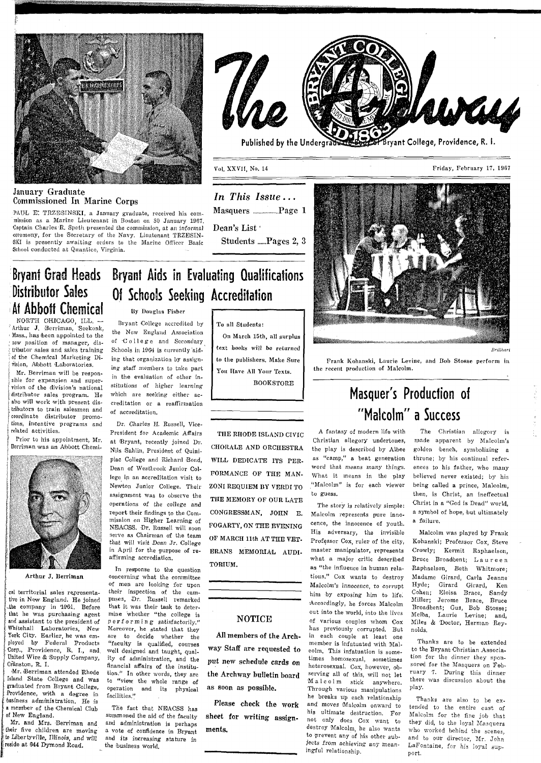

January Graduate **Commissioned In Marine Corps** 

NORTH OHICAGO, ILL. --

Arthur J. Berriman, Seekonk,

Mass., has been appointed to the

new position of manager, dis-

tributor sales and sales training

of the Chemical Marketing Di-

Mr. Berriman will be respon-

sible for expansion and super-

vision of the division's national

distributor sales program. He also will work with present dis-

tributors to train salesmen and

coordinate distributor promotions, incentive programs and

Prior to his appointment, Mr.

Berriman was an Abbott Chemi-

Arthur J. Berriman

cal territorial sales representa-

tive in New England. He joined

the company in 1961. Before

that he was purchasing agent

and assistant to the president of

Whitehall Laboratories, New

York City. Earlier, he was em-

ployed by Federal Products

Corp., Providence, R. I., and

United Wire & Supply Company,

Mr. Berriman attended Rhode

Island State College and was

graduated from Bryant College,

Providence, with a degree in

business administration. He is

a member of the Chemical Club

Mr. and Mrs. Berriman and

their five children are moving

to Libertyville, Illinois, and will

reside at 644 Dymond Road.

Cranston, R. I.

of New England.

related activities.

vision, Abbott Laboratories.

PAUL E: TRZESINSKI, a January graduate, received his commission as a Marine Lieutenant in Boston on 30 January 1967. Captain Charles R. Speth presented the commission, at an informal ceremony, for the Secretary of the Navy. Lieutenant TRZESIN-SKI is presently awaiting orders to the Marine Officer Basic School conducted at Quantico. Virginia.



Published by the Underal Brvant College, Providence, R. I.

Vol. XXVII. No. 14

Friday, February 17, 1967

In This Issue... Dean's List Students ......Pages 2, 3

# **Bryant Grad Heads** Bryant Aids in Evaluating Qualifications **Distributor Sales** Of Schools Seeking Accreditation At Abbott Chemical

#### By Douglas Fisher

Bryant College accredited by the New England Association of College and Secondary Schools in 1964 is currently aiding that organization by assigning staff members to take part in the evaluation of other institutions of higher learning which are seeking either accreditation or a reaffirmation of accreditation.

Dr. Charles H. Russell, Vice-President for Academic Affairs at Bryant, recently joined Dr. Nils Sahlin, President of Quinipiac College and Richard Bond, Dean of Westbrook Junior College in an accreditation visit to Newton Junior College. Their assignment was to observe the operations of the college and report their findings to the Commission on Higher Learning of NEACSS, Dr. Russell will soon serve as Chairman of the team that will visit Dean Jr. College in April for the purpose of reaffirming accrediation.

In response to the question concerning what the committee of men are looking for upon their inspection of the campuses, Dr. Russell remarked that it was their task to determine whether "the college is performing satisfactorily." Moreover, he stated that they are to decide whether the "faculty is qualified, courses well designed and taught, quality of administration, and the financial affairs of the institution." In other words, they are to "view the whole range of operation and its physical facilities."

The fact that NEACSS has summoned the aid of the faculty and administration is perhaps a vote of confidence in Bryant and its increasing stature in the business world.

#### To all Students:

On March 15th, all surplus text hooks will be returned to the publishers. Make Sure You Have All Your Texts. **BOOKSTORE** 

THE RHODE ISLAND CIVIC CHORALE AND ORCHESTRA WILL DEDICATE ITS PER-FORMANCE OF THE MAN. ZONI REQUIEM BY VERDI TO THE MEMORY OF OUR LATE CONGRESSMAN, JOHN E. FOGARTY, ON THE EVENING OF MARCH 11th AT THE VET-ERANS MEMORIAL AUDI. TORIUM.

## **NOTICE**

All members of the Archway Staff are requested to put new schedule cards on the Archway bulletin board as soon as possible.

Please check the work sheet for writing assignments.

# Masquer's Production of "Malcolm" a Success

A fantasy of modern life with Christian allegory undertones, the play is described by Albee as "camp," a beat generation word that means many things. What it means in the play "Malcolm" is for each viewer to guess.

The story is relatively simple: Malcolm represents pure innocence, the innocence of youth. His adversary, the invisible Professor Cox, ruler of the city, master manipulator, represents what a major critic described as "the influence in human relations." Cox wants to destroy Malcolm's innocence, to corrupt him by exposing him to life. Accordingly, he forces Malcolm out into the world, into the lives of various couples whom Cox has previously corrupted. But in each couple at least one member is infatuated with Malcolm. This infatuation is sometimes homosexual, sometimes heterosexual. Cox, however, observing all of this, will not let Malcolm stick anywhere. Through various manipulations he breaks up each relationship and moves Malcolm onward to his ultimate destruction. For not only does Cox want to destroy Malcolm, he also wants to prevent any of his other subjects from achieving any meaningful relationship.

The Christian allegory is made apparent by Malcolm's golden bench, symbolizing a throne: by his continual references to his father, who many believed never existed; by his being called a prince, Malcolm, then, is Christ, an ineffectual Christ in a "God is Dead" world, a symbol of hope, but ultimately a failure.

Malcolm was played by Frank Kohanski; Professor Cox, Steve Crowly; Kermit Raphaelson, Bruce Broadbent; Laureen Raphaelson, Beth Whitmore: Madame Girard, Carla Jeanne Hvde: Girard Girard, Ken Cohen; Eloisa Brace, Sandy Miller; Jerome Brace, Bruce Broadbent; Gus, Bob Stosse; Melba, Laurie Levine; and, Miles & Doctor, Herman Reynolds.

Thanks are to be extended to the Bryant Christian Association for the dinner they sponsored for the Masquers on February 7. During this dinner there was discussion about the play.

Thanks are also to be extended to the entire cast of Malcolm for the fine job that they did, to the loyal Masquers who worked behind the scenes, and to our director, Mr. John LaFontaine, for his loyal support.



**Brillhart**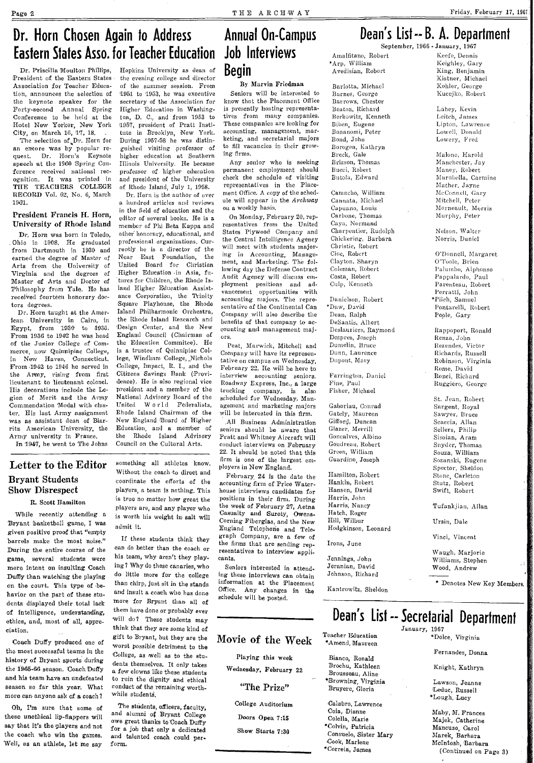# Dr. Horn Chosen Again to Address **Eastern States Asso. for Teacher Education Job Interviews**

Dr. Priscilla Moulton Phillips. President of the Eastern States Association for Teacher Education, announces the selection of the keynote speaker for the Forty-second Annual Spring Conference to be held at the Hotel New Yorker, New York City, on March 16, 17, 18.

The selection of Dr. Horn for an encore was by popular request. Dr. Horn's Keynote speech at the 1960 Spring Conference received national recognition. It was printed in THE TEACHERS COLLEGE RECORD Vol. 62, No. 6, March 1961.

#### President Francis H. Horn, University of Rhode Island

Dr. Horn was born in Toledo, Ohio in 1908. He graduated from Dartmouth in 1930 and earned the degree of Master of Arts from the Hniversity of Virginia and the degrees of Master of Arts and Doctor of Philosophy from Yale. He has received fourteen honorary doctors degrees.

Dr. Horn taught at the American University in Cairo, in Egypt, from 1930 to 1938. From 1936 to 1942 he was head of the Junior College of Commerce, now Quinnipiac College, in New Haven, Connecticut. From 1942 to 1946 he served in the Army, rising from first lieutenant to lieutenant colonel. His decorations include the Legion of Merit and the Army Commendation Medal with chister. His last Army assignment was as assistant dean of Biarritz American University, the Army university in France.

In 1947, he went to The Johns

R. Scott Hamilton

given positive proof that "empty

barrels make the most noise."

During the entire course of the

game, several students were

more intent on insulting Coach

Duffy than watching the playing

on the court. This type of be-

havior on the part of these stu-

dents displayed their total lack

of intelligence, understanding,

ethics, and, most of all, appre-

Coach Duffy produced one of

the most successful teams in the

history of Bryant sports during

the 1965-66 season. Coach Duffy

and his team have an undefeated

season so far this year. What

more can anyone ask of a coach?

these unethical lip-flappers will

say that it's the players and not

the coach who win the games.

Well, as an athlete, let me say

Oh, I'm sure that some of

ciation.

**Brvant Students** 

**Show Disrespect** 

Hopkins University as dean of the evening college and director of the summer session. From 1951 to 1953, he was executive secretary of the Association for Higher Education in Washington, D. C., and from 1953 to 1957, president of Pratt Institute in Brooklyn, New York. During 1957-58 he was distinguished visiting professor of higher education at Southern Illinois University. He became professor of higher education and president of the University of Rhode Island July 1, 1958.

Dr. Horn is the suthor of over a hundred articles and reviews in the field of education and the editor of several books. He is a member of Phi Beta Kappa and other honorary, educational, and professional organizations. Currently he is a director of the Near East Foundation, the United Board for Christian Higher Education in Asia, futures for Children, the Rhode Island Higher Education Assistance Corporation, the Trinity Square Playhonse, the Rhode Island Philharmonic Orchestra. the Rhode Island Research and Design Center, and the New<br>England Council (Chairman of the Education Commitee). He is a trustee of Quinnipiac College, Windham College, Nichols College, Impact, R. I., and the Citizens Savings Bank (Providence). He is also regional vice president and a member of the National Advisory Board of the United World Federalists. Rhode Island Chairman of the New England Board of Higher Education, and a member of the Rhode Island Advisory Council on the Cultural Arts.

# **Annual On-Campus Beain**

#### By Marvin Friedman

Seniors will be interested to know that the Placement Office is presently hosting representatives from many companies. These companies are looking for accounting, management, marketing, and secretarial majors to fill vacancies in their growing firms.

Any senior who is seeking permanent employment should check the schedule of visiting representatives in the Placement Office. A copy of the schedule will appear in the Archway on a weekly basis.

On Monday, February 20, representatives from the United States Plywood Company and the Central Intelligence Agency will meet with students majoring in Accounting, Management, and Marketing. The following day the Defense Contract Audit Agency will discuss employment positions and advancement opportunities with accounting majors. The representative of the Continental Can Company will also describe the benefits of that company to accounting and management majors.

Peat, Marwick, Mitchell and Company will have its representative on campus on Wednesday, February 22. He will be here to interview accounting seniors. Roadway Express, Inc., a large trucking company, is also scheduled for Wednesday. Management and marketing majors will be interested in this firm.

All Business Administration seniors should be aware that Pratt and Whitney Aircraft will conduct interviews on February 22. It should be noted that this firm is one of the largest employers in New England.

February 24 is the date the accounting firm of Price Waterhouse interviews candidates for positions in their firm. During the week of February 27, Aetna Casualty and Surety, Owens-Corning Fiberglas, and the New England Telephone and Telegraph Company, are a few of the firms that are sending representatives to interview applicants.

Seniors interested in attending these interviews can obtain information at the Placement Office. Any changes in the schedule will be posted.

# Dean's List -- B. A. Department September, 1966 - January, 1967

Amalfitano, Robert \*Arp, William Avedisian, Robert

Barlotta, Michael Barnes, George Barrows, Chester Beaton, Richard Berkowitz, Kenneth Biben, Eugene Bonanomi, Peter Bond. John Borogen, Kathryn Breck, Gale Brisson, Thomas Bucci, Robert Butola, Edward

Camacho, William Cannata, Michael Capuano, Louis Carbone, Thomas Caya, Normand Charpentier, Rudolph Chickering, Barbara Christie, Robert Cioe, Robert Clayton, Sharvn Coleman, Robert Costa, Robert Culp, Kenneth

Danielson, Robert Daw, David Dean, Ralph DeSantis, Albert Deslauriers, Raymond Despres, Joseph Dumelin, Bruce Dunn, Laurence Dupont, Mary

Farrington, Daniel Fine, Paul Fisher, Michnel

Gaborian Conrad Gately, Maureen Gifford, Duncan Glazer, Merrill Goncalves, Albino Goudreau, Robert Green, William Guardino, Joseph

Hamilton, Robert Hankin, Robert Hansen, David Harris, John Harris, Nancy Hatch, Roger Hill, Wilbur Hodgkinson, Leonard

Irons, June

Jennings, John Jeranian, David Johnson, Richard

Kantrowitz, Sheldon

Keefe, Dennis Keighley, Gary King, Benjamin Kistner, Michael Kohler, George Kucejko, Robert

Lahey, Kevin Leitch, James Lipton, Lawrence Lowell, Donald Lowery, Fred

Malone, Harold Manchester, Jay Maney, Robert Marabella, Carmine Mather, Jayne McConnell, Gary Mitchell, Peter Morneault, Morris Murphy, Peter

Nelson, Walter Norris, Daniel

O'Donnell, Margaret O'Toole, Brien Palumbo, Alphonso Pappalardo, Paul Parenteau, Robert Perratti, John \*Pilch, Samuel Pontarelli, Robert Poole, Gary

Rappoport, Ronald Renza, John Rezendes, Victor Richards, Russell Robinson, Virginia Rome, David Ronei, Richard Ruggiero, George

St. Jean, Robert Sargent, Royal Sawyer, Bruce Scaecia, Allan Sellers, Philip Sisoian, Aram Snyder, Thomas Souza, William Sozanski, Eugene Spector, Sheldon Stone, Carleton Stutz, Robert Swift, Rohert

Tufankjian, Allan

Ursin, Dale

Vinci, Vincent

Waugh, Marjorie Williams, Stephen Wood, Andrew

\* Denotes New Key Members.

# Dean's List -- Secretarial Department January, 1967

\*Dolce, Virginia

Fernandes, Donna

Knight, Kathryn

Lawson, Jeanne Leduc, Russell \*Lough, Lucy

Maby, M. Frances Majek, Catherine Mancuso, Carol Marek, Barbara McIntosh, Barbara

#### (Continued on Page 3)

something all athletes know. Letter to the Editor Without the ceach to direct and coordinate the efforts of the players, a team is nothing, This is true no matter how great the players are, and any player who is worth his weight in salt will

> If these students think they can do better than the coach or his team, why aren't they playing ? Why do these canaries, who do little more for the college than chirp, just sit in the stands and insult a coach who has done more for Bryant than all of them have done or probably ever will do? These students may think that they are some kind of gift to Bryant, but they are the worst possible detriment to the College, as well as to the students themselves. It only takes a few clowns like these students to ruin the dignity and ethical conduct of the remaining worthwhile students.

and alumni of Bryant College owe great thanks to Coach Duffy for a job that only a dedicated and talented coach could perform.

While recently attending a Brvant basketball game. I was admit it.

The students, efficers, faculty,

# Movie of the Week

Playing this week Wednesday, February 22

"The Prize"

College Auditorium

Doors Open 7:15

Show Starts 7:30

**Teacher Education** Amend, Maureen

Bianco, Ronald Brochu, Kathleen Brousseau, Aline \*Browning, Virginia Bruyere, Gloria

Calabro, Lawrence Coia Dianne Colella, Marie \*Colvin, Patricia Consuelo, Sister Mary Cook, Marlene \*Correia, James

Friday, February 17, 1967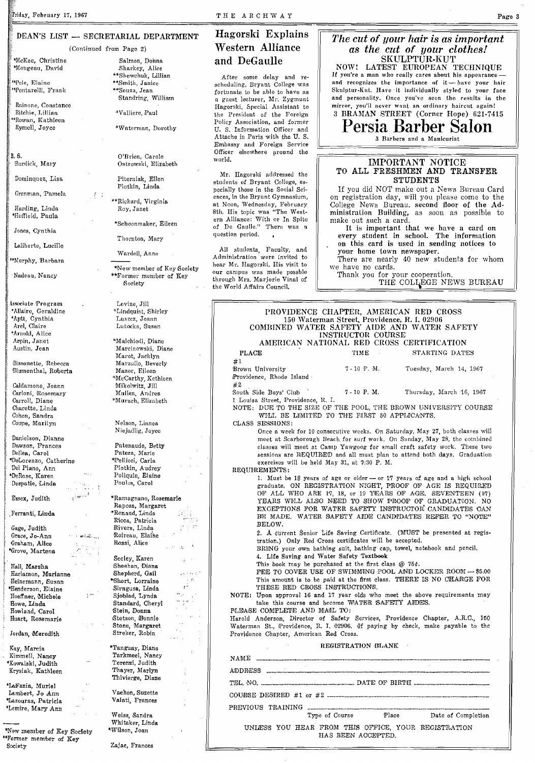#### DEAN'S LIST - SECRETARIAL DEPARTMENT

(Continued from Page 2)

McKee, Christine Mongeau, David

Apole Eleine "Pontarelli, Frank

Rainone, Constance Ritchie, Lillian Rowan, Kathleen Rymell, Joyce

B.S. Burdick, Mary

Dominquez, Lisa

Grenman, Pamela

Harding, Linda Huffield, Paula

Jones, Cynthia

Laliberte, Lucille

\*Murnhy, Barbara

Nadeau, Nancy

**Associate Program** \*Allaire, Geraldine 'Aptt, Cynthia Arel, Claire \*Arnold, Alice Arpin, Janet Austin, Jean

Bissonette, Rebecca Blumenthal, Roberta

Caldamone, Joann Carloni, Rosemary<br>Carroll, Diane Charette, Linda Cohen, Sandra Coupe, Marilyn

Danielson, Dianne Dawson, Frances Dellea, Carol \*DeLorenzo, Catherine Del Piano, Ann DeRose, Karen Despatie, Linda

 $_{\rm H}$  :  $99$ 

.<br>منطقة ا<del>لله</del> ال

Essex, Judith

#### Ferranti, Linda

Gage, Judith Grace, Jo-Ann Graham, Alice \*Grove, Marten**a** 

Hall, Marsha Harlamon, Marianne Heinemann, Susan Henderson, Elaine Hoeffner, Michele Howe, Linda Howland, Carol Huart, Rosemarie

Jordan, Meredith

Kay, Marcia Kimmell, Nancy Kowalski, Judith Krysiak, Kathleen

'LaFazia, Muriel Lambert, Jo Ann Lazouras, Patricia Lemire, Mary Ann

"New member of Key Society "Former member of Key Society

Salmon, Donna Sharkey, Alice \*\*Shewchuk, Lillian \*\*Smith, Janice \*Souza Jean Standring, William

\*Valliere, Paul

\*Waterman, Dorothy

O'Brian, Carole Ostrowski, Elizabeth

Piterniak, Ellen<br>Plotkin, Linda

\*\*Richard, Virginia Roy, Janet

\*Schoonmaker, Eileen

Thornton, Mary

Wardell, Anne

\*New member of Key Society \*Former member of Key Society

Levine, Jill \*Lindquist, Shirley Luszcz, Joann Lutocka, Susan

Malchiodi, Diane Marcinowski, Diane Marot, Jacklyn Marzullo, Beverly Mazor, Eileen \*McCarthy, Kethleen Mikolwitz, Jill Mullen, Andrea \*Murach, Elizabeth

Nelson, Linnea Niejadlig, Joyce

Patenaude, Betty Patera, Marie Pellicci, Carla Plotkin, Audrey Poliquin, Elaine Poulos, Carol

\*Ramagnano, Rosemarie Raposa, Margaret \*Renaud, Linda Ricca, Patricia Rivera, Llnda Roireau. Elaine Rossi, Alice

Seeley, Karen Sheehan, Diana Shepherd, Gail Short, Lorraine Siragusa, Linda Sjoblad, Lynda Standard, Cheryl Stein, Donna Stetson, Bonnie Stone, Margaret Streker, Robin

\*Tanguay, Diane Tarkmeel, Nancy Terenzi, Judith Thayer, Marlyn Thivierge, Diane

Vachon, Suzette Valati, Frances

Weiss, Sandra Whitaker, Linda \*Wilson, Joan

Zajac, Frances

# THE ARCHWAY

# Hagorski Explains **Western Alliance** and DeGaulle

After some delay and rescheduling, Bryant College was fortunate to be able to have as a guest lecturer, Mr. Zygmunt Hagorski, Special Assistant to the President of the Foreign Policy Association, and former U. S. Information Officer and Attache in Paris with the U.S. Embassy and Foreign Service Officer elsewhere around the world.

Mr. Hagorski addressed the students of Bryant College. especially those in the Social Sciences, in the Bryant Gymnasium, at Noon, Wednesday, February 8th. His topic was "The Western Alliance: With or In Spite of De Gaulle." There was a question period.

All students, Faculty, and<br>Administration were invited to hear Mr. Hagorski, His visit to our campus was made possble through Mrs. Marjorie Vinal of the World Affairs Council.

# The cut of your hair is as important as the cut of your clothes!<br>SKULPTUR-KUT

NOW! LATEST EUROPEAN TECHNIQUE<br>If you're a man who really cares about his appearanceand recognizes the importance of it-have your hair Skulptur-Kut. Have it individually styled to your face and personality. Once you've seen the results in the mirror, you'll never want an ordinary haircut again!

3 BRAMAN STREET (Corner Hope) 621-7415 Persia Barber Salon

3 Barbers and a Manicurist

#### **IMPORTANT NOTICE** TO ALL FRESHMEN AND TRANSFER **STUDENTS**

If vou did NOT make out a News Bureau Card on registration day, will you please come to the College News Bureau, second floor of the Ad-<br>ministration Building, as soon as possible to make out such a card.

It is important that we have a card on<br>every student in school. The information on this card is used in sending notices to your home town newspaper.

There are nearly 40 new students for whom we have no cards.

Thank you for your cooperation.<br>THE COLLEGE NEWS BUREAU

| PROVIDENCE CHAPTER, AMERICAN RED CROSS<br>COMBINED WATER SAFETY AIDE AND WATER SAFETY                                                | 150 Waterman Street, Providence, R. I. 02906 |                                                     |                                                                                                               |
|--------------------------------------------------------------------------------------------------------------------------------------|----------------------------------------------|-----------------------------------------------------|---------------------------------------------------------------------------------------------------------------|
|                                                                                                                                      | INSTRUCTOR COURSE                            |                                                     |                                                                                                               |
| AMERICAN NATIONAL RED CROSS CERTIFICATION                                                                                            |                                              |                                                     |                                                                                                               |
| PLACE<br>#1                                                                                                                          | TIME                                         | $\sim 10^{-1}$                                      | STARTING DATES                                                                                                |
| Brown University                                                                                                                     |                                              |                                                     | 7-10 P. M. Tuesday, March 14, 1967                                                                            |
| Providence, Rhode Island -                                                                                                           |                                              |                                                     |                                                                                                               |
| #2                                                                                                                                   |                                              |                                                     |                                                                                                               |
| South Side Boys' Club<br>1 Louisa Street, Providence, R. I.                                                                          |                                              |                                                     | 7-10 P.M. Thursday, March 16, 1967                                                                            |
| NOTE: DUE TO THE SIZE OF THE POOL, THE BROWN UNIVERSITY COURSE                                                                       |                                              |                                                     |                                                                                                               |
| WILL BE LIMITED TO THE FIRST 50 APPLICANTS.                                                                                          |                                              |                                                     |                                                                                                               |
| CLASS SESSIONS:                                                                                                                      |                                              |                                                     | Once a week for 10 consecutive weeks. On Saturday, May 27, both classes will                                  |
|                                                                                                                                      |                                              |                                                     | meet at Scarborough Beach for surf work. On Sunday, May 28, the combined                                      |
|                                                                                                                                      |                                              |                                                     | classes will meet at Camp Yawgoog for small craft safety work. These two                                      |
|                                                                                                                                      |                                              |                                                     | sessions are REQUIRED and all must plan to attend both days. Graduation                                       |
| exercises will be held May 31, at 7:30 P. M.<br>REQUIREMENTS:                                                                        |                                              |                                                     |                                                                                                               |
|                                                                                                                                      |                                              |                                                     | 1. Must be 18 years of age or older - or 17 years of age and a high school                                    |
|                                                                                                                                      |                                              |                                                     | graduate. ON REGISTRATION NIGHT, PROOF OF AGE IS REQUIRED                                                     |
|                                                                                                                                      |                                              |                                                     | OF ALL WHO ARE 17, 18, or 19 YEARS OF AGE. SEVENTEEN (17)                                                     |
|                                                                                                                                      |                                              |                                                     | YEARS WILL ALSO NEED TO SHOW PROOF OF GRADUATION. NO<br>EXCEPTIONS FOR WATER SAFETY INSTRUCTOR CANDIDATES CAN |
|                                                                                                                                      |                                              |                                                     | BE MADE. WATER SAFETY AIDE CANDIDATES REFER TO "NOTE"                                                         |
| BELOW.                                                                                                                               |                                              |                                                     |                                                                                                               |
| 2. A current Senior Life Saving Certificate. (MUST be presented at regis-<br>tration.) Only Red Cross certificates will be accepted. |                                              |                                                     |                                                                                                               |
| BRING your own bathing suit, bathing cap, towel, notebook and pencil.                                                                |                                              |                                                     |                                                                                                               |
| 4. Life Saving and Water Safety Textbook                                                                                             |                                              |                                                     |                                                                                                               |
| This book may be purchased at the first class $@ 75¢$ .<br>FEE TO COVER USE OF SWIMMING POOL AND LOCKER ROOM - \$5.00                |                                              |                                                     |                                                                                                               |
| This amount is to be paid at the first class. THERE IS NO CHARGE FOR                                                                 |                                              |                                                     |                                                                                                               |
| THESE RED CROSS INSTRUCTIONS.                                                                                                        |                                              |                                                     |                                                                                                               |
| NOTE: Upon approval 16 and 17 year olds who meet the above requirements may                                                          |                                              |                                                     |                                                                                                               |
| take this course and become WATER SAFETY AIDES.<br>PLEASE COMPLETE AND MALL TO:                                                      |                                              |                                                     |                                                                                                               |
| Harold Anderson, Director of Safety Services, Providence Chapter, A.R.C., 150                                                        |                                              |                                                     |                                                                                                               |
| Waterman St., Providence, R. I. 02906. If paying by check, make payable to the                                                       |                                              |                                                     |                                                                                                               |
| Providence Chapter, American Red Cross.                                                                                              |                                              |                                                     |                                                                                                               |
|                                                                                                                                      | REGISTRATION BLANK                           |                                                     |                                                                                                               |
|                                                                                                                                      |                                              |                                                     |                                                                                                               |
|                                                                                                                                      |                                              |                                                     |                                                                                                               |
|                                                                                                                                      |                                              |                                                     |                                                                                                               |
|                                                                                                                                      |                                              |                                                     |                                                                                                               |
| PREVIOUS TRAINING ENTERTAINMENT CONTRACT TRAINING                                                                                    |                                              |                                                     |                                                                                                               |
|                                                                                                                                      |                                              |                                                     | Type of Course Place Date of Completion                                                                       |
|                                                                                                                                      |                                              | UNLESS YOU HEAR FROM THIS OFFICE, YOUR REGISTRATION |                                                                                                               |